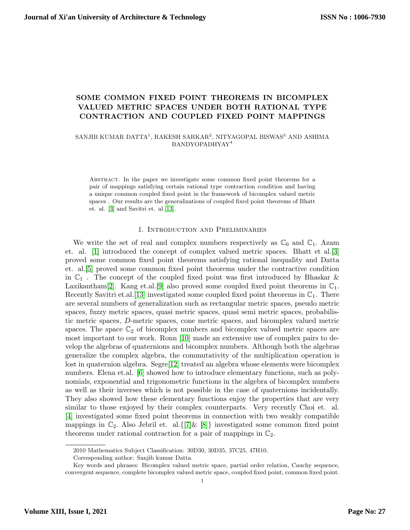# SOME COMMON FIXED POINT THEOREMS IN BICOMPLEX VALUED METRIC SPACES UNDER BOTH RATIONAL TYPE CONTRACTION AND COUPLED FIXED POINT MAPPINGS

# SANJIB KUMAR DATTA $^1,$ RAKESH SARKAR $^2,$ NITYAGOPAL BISWAS $^3$ AND ASHIMA BANDYOPADHYAY<sup>4</sup>

Abstract. In the paper we investigate some common fixed point theorems for a pair of mappings satisfying certain rational type contraction condition and having a unique common coupled fixed point in the framework of bicomplex valued metric spaces . Our results are the generalizations of coupled fixed point theorems of Bhatt et. al. [\[3\]](#page-9-0) and Savitri et. al.[\[13\]](#page-9-1).

### 1. Introduction and Preliminaries

We write the set of real and complex numbers respectively as  $\mathbb{C}_0$  and  $\mathbb{C}_1$ . Azam et. al. [\[1\]](#page-9-2) introduced the concept of complex valued metric spaces. Bhatt et al.[\[3\]](#page-9-0) proved some common fixed point theorems satisfying rational inequality and Datta et. al.[\[5\]](#page-9-3) proved some common fixed point theorems under the contractive condition in  $\mathbb{C}_1$ . The concept of the coupled fixed point was first introduced by Bhaskar & Laxikantham<sup>[\[2\]](#page-9-4)</sup>. Kang et.al.<sup>[\[9\]](#page-9-5)</sup> also proved some coupled fixed point theorems in  $\mathbb{C}_1$ . Recently Savitri et.al. [\[13\]](#page-9-1) investigated some coupled fixed point theorems in  $\mathbb{C}_1$ . There are several numbers of generalization such as rectangular metric spaces, pseudo metric spaces, fuzzy metric spaces, quasi metric spaces, quasi semi metric spaces, probabilistic metric spaces, D-metric spaces, cone metric spaces, and bicomplex valued metric spaces. The space  $\mathbb{C}_2$  of bicomplex numbers and bicomplex valued metric spaces are most important to our work. Ronn [\[10\]](#page-9-6) made an extensive use of complex pairs to develop the algebras of quaternions and bicomplex numbers. Although both the algebras generalize the complex algebra, the commutativity of the multiplication operation is lost in quaternion algebra. Segre[\[12\]](#page-9-7) treated an algebra whose elements were bicomplex numbers. Elena et.al. [\[6\]](#page-9-8) showed how to introduce elementary functions, such as polynomials, exponential and trigonometric functions in the algebra of bicomplex numbers as well as their inverses which is not possible in the case of quaternions incidentally. They also showed how these elementary functions enjoy the properties that are very similar to those enjoyed by their complex counterparts. Very recently Choi et. al. [\[4\]](#page-9-9) investigated some fixed point theorems in connection with two weakly compatible mappings in  $\mathbb{C}_2$ . Also Jebril et. al.  $\{7|\&8|\}$  investigated some common fixed point theorems under rational contraction for a pair of mappings in  $\mathbb{C}_2$ .

<sup>2010</sup> Mathematics Subject Classification: 30D30, 30D35, 37C25, 47H10.

Corresponding author: Sanjib kumar Datta.

Key words and phrases: Bicomplex valued metric space, partial order relation, Cauchy sequence, convergent sequence, complete bicomplex valued metric space, coupled fixed point, common fixed point.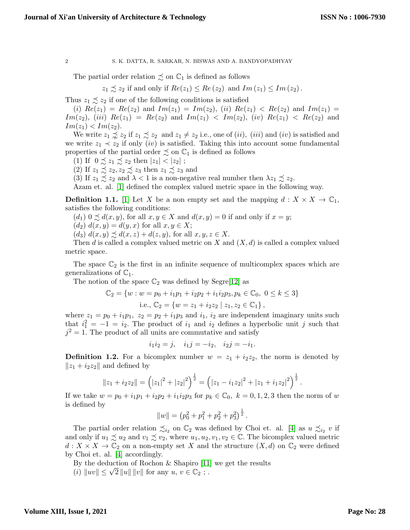The partial order relation  $\precsim$  on  $\mathbb{C}_1$  is defined as follows

$$
z_1 \precsim z_2 \text{ if and only if } Re(z_1) \leq Re(z_2) \text{ and } Im(z_1) \leq Im(z_2).
$$

Thus  $z_1 \precsim z_2$  if one of the following conditions is satisfied

(i)  $Re(z_1) = Re(z_2)$  and  $Im(z_1) = Im(z_2)$ , (ii)  $Re(z_1) < Re(z_2)$  and  $Im(z_1) =$  $Im(z_2), (iii) \; Re(z_1) = Re(z_2) \; \text{and} \; Im(z_1) < Im(z_2), (iv) \; Re(z_1) < Re(z_2) \; \text{and}$  $Im(z_1) < Im(z_2)$ .

We write  $z_1 \precsim z_2$  if  $z_1 \precsim z_2$  and  $z_1 \neq z_2$  i.e., one of (ii), (iii) and (iv) is satisfied and we write  $z_1 \prec z_2$  if only *(iv)* is satisfied. Taking this into account some fundamental properties of the partial order  $\precsim$  on  $\mathbb{C}_1$  is defined as follows

(1) If  $0 \precsim z_1 \precsim z_2$  then  $|z_1| < |z_2|$ ;

(2) If  $z_1 \precsim z_2, z_2 \precsim z_3$  then  $z_1 \precsim z_3$  and

(3) If  $z_1 \precsim z_2$  and  $\lambda < 1$  is a non-negative real number then  $\lambda z_1 \precsim z_2$ .

Azam et. al. [\[1\]](#page-9-2) defined the complex valued metric space in the following way.

**Definition 1.1.** [\[1\]](#page-9-2) Let X be a non empty set and the mapping  $d: X \times X \to \mathbb{C}_1$ , satisfies the following conditions:

 $(d_1)$   $0 \preceq d(x, y)$ , for all  $x, y \in X$  and  $d(x, y) = 0$  if and only if  $x = y$ ;

 $(d_2) d(x, y) = d(y, x)$  for all  $x, y \in X$ ;

 $(d_3) d(x,y) \preceq d(x,z) + d(z,y)$ , for all  $x, y, z \in X$ .

Then d is called a complex valued metric on X and  $(X, d)$  is called a complex valued metric space.

The space  $\mathbb{C}_2$  is the first in an infinite sequence of multicomplex spaces which are generalizations of  $\mathbb{C}_1$ .

The notion of the space  $\mathbb{C}_2$  was defined by Segre $[12]$  as

$$
\mathbb{C}_2 = \{ w : w = p_0 + i_1 p_1 + i_2 p_2 + i_1 i_2 p_3, p_k \in \mathbb{C}_0, 0 \le k \le 3 \}
$$
  
i.e., 
$$
\mathbb{C}_2 = \{ w = z_1 + i_2 z_2 \mid z_1, z_2 \in \mathbb{C}_1 \},
$$

where  $z_1 = p_0 + i_1p_1$ ,  $z_2 = p_2 + i_1p_3$  and  $i_1$ ,  $i_2$  are independent imaginary units such that  $i_1^2 = -1 = i_2$ . The product of  $i_1$  and  $i_2$  defines a hyperbolic unit j such that  $j^2 = 1$ . The product of all units are commutative and satisfy

$$
i_1i_2 = j
$$
,  $i_1j = -i_2$ ,  $i_2j = -i_1$ .

**Definition 1.2.** For a bicomplex number  $w = z_1 + i_2z_2$ , the norm is denoted by  $||z_1 + i_2z_2||$  and defined by

$$
||z_1 + i_2 z_2|| = (|z_1|^2 + |z_2|^2)^{\frac{1}{2}} = (|z_1 - i_1 z_2|^2 + |z_1 + i_1 z_2|^2)^{\frac{1}{2}}.
$$

If we take  $w = p_0 + i_1p_1 + i_2p_2 + i_1i_2p_3$  for  $p_k \in \mathbb{C}_0$ ,  $k = 0, 1, 2, 3$  then the norm of w is defined by

$$
||w|| = (p_0^2 + p_1^2 + p_2^2 + p_3^2)^{\frac{1}{2}}.
$$

The partial order relation  $\precsim_{i_2}$  on  $\mathbb{C}_2$  was defined by Choi et. al. [\[4\]](#page-9-9) as  $u \precsim_{i_2} v$  if and only if  $u_1 \precsim u_2$  and  $v_1 \precsim v_2$ , where  $u_1, u_2, v_1, v_2 \in \mathbb{C}$ . The bicomplex valued metric  $d: X \times X \to \mathbb{C}_2$  on a non-empty set X and the structure  $(X, d)$  on  $\mathbb{C}_2$  were defined by Choi et. al. [\[4\]](#page-9-9) accordingly.

By the deduction of Rochon & Shapiro [\[11\]](#page-9-12) we get the results

By the deduction of Rochon  $\alpha$  Snapiro [11]<br>(i)  $||uv|| \le \sqrt{2} ||u|| ||v||$  for any  $u, v \in \mathbb{C}_2$ ;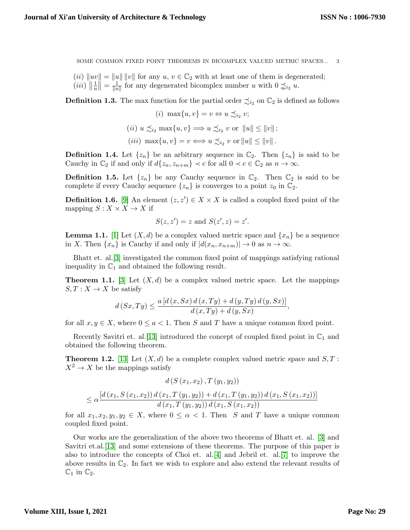(ii)  $\|uv\| = \|u\| \|v\|$  for any  $u, v \in \mathbb{C}_2$  with at least one of them is degenerated;  $(iii)$   $\|\frac{1}{u}\$  $\frac{1}{u}$   $\Big\| = \frac{1}{\|u\|}$  $\frac{1}{\|u\|}$  for any degenerated bicomplex number u with  $0 \nless \hat{u}_2 u$ .

**Definition 1.3.** The max function for the partial order  $\precsim_{i_2}$  on  $\mathbb{C}_2$  is defined as follows

$$
(i) \ \max\{u, v\} = v \Leftrightarrow u \preceq_{i_2} v;
$$

$$
(ii) \ u \preceq_{i_2} \max\{u, v\} \Longrightarrow u \preceq_{i_2} v \text{ or } ||u|| \le ||v||;
$$

$$
(iii) \ \max\{u, v\} = v \Longleftrightarrow u \preceq_{i_2} v \text{ or } ||u|| \le ||v||.
$$

**Definition 1.4.** Let  $\{z_n\}$  be an arbitrary sequence in  $\mathbb{C}_2$ . Then  $\{z_n\}$  is said to be Cauchy in  $\mathbb{C}_2$  if and only if  $d\{z_n, z_{n+m}\} \prec c$  for all  $0 \prec c \in \mathbb{C}_2$  as  $n \to \infty$ .

**Definition 1.5.** Let  $\{z_n\}$  be any Cauchy sequence in  $\mathbb{C}_2$ . Then  $\mathbb{C}_2$  is said to be complete if every Cauchy sequence  $\{z_n\}$  is converges to a point  $z_0$  in  $\mathbb{C}_2$ .

**Definition 1.6.** [\[9\]](#page-9-5) An element  $(z, z') \in X \times X$  is called a coupled fixed point of the mapping  $S: X \times X \rightarrow X$  if

$$
S(z, z') = z
$$
 and 
$$
S(z', z) = z'.
$$

<span id="page-2-0"></span>**Lemma 1.1.** [\[1\]](#page-9-2) Let  $(X, d)$  be a complex valued metric space and  $\{x_n\}$  be a sequence in X. Then  $\{x_n\}$  is Cauchy if and only if  $|d(x_n, x_{n+m})| \to 0$  as  $n \to \infty$ .

Bhatt et. al.[\[3\]](#page-9-0) investigated the common fixed point of mappings satisfying rational inequality in  $\mathbb{C}_1$  and obtained the following result.

**Theorem 1.1.** [\[3\]](#page-9-0) Let  $(X, d)$  be a complex valued metric space. Let the mappings  $S, T: X \to X$  be satisfy

$$
d(Sx,Ty) \le \frac{a\left[d\left(x,Sx\right)d\left(x,Ty\right)+d\left(y,Ty\right)d\left(y,Sx\right)\right]}{d\left(x,Ty\right)+d\left(y,Sx\right)},
$$

for all  $x, y \in X$ , where  $0 \le a < 1$ . Then S and T have a unique common fixed point.

Recently Savitri et. al. [\[13\]](#page-9-1) introduced the concept of coupled fixed point in  $\mathbb{C}_1$  and obtained the following theorem.

**Theorem 1.2.** [\[13\]](#page-9-1) Let  $(X, d)$  be a complete complex valued metric space and  $S, T$ :  $X^2 \to X$  be the mappings satisfy

$$
d(S(x_1, x_2), T(y_1, y_2))
$$
  
\n
$$
\leq \alpha \frac{[d(x_1, S(x_1, x_2)) d(x_1, T(y_1, y_2)) + d(x_1, T(y_1, y_2)) d(x_1, S(x_1, x_2))]}{d(x_1, T(y_1, y_2)) d(x_1, S(x_1, x_2))}
$$

for all  $x_1, x_2, y_1, y_2 \in X$ , where  $0 \leq \alpha < 1$ . Then S and T have a unique common coupled fixed point.

Our works are the generalization of the above two theorems of Bhatt et. al. [\[3\]](#page-9-0) and Savitri et.al.[\[13\]](#page-9-1) and some extensions of these theorems. The purpose of this paper is also to introduce the concepts of Choi et. al.[\[4\]](#page-9-9) and Jebril et. al.[\[7\]](#page-9-10) to improve the above results in  $\mathbb{C}_2$ . In fact we wish to explore and also extend the relevant results of  $\mathbb{C}_1$  in  $\mathbb{C}_2$ .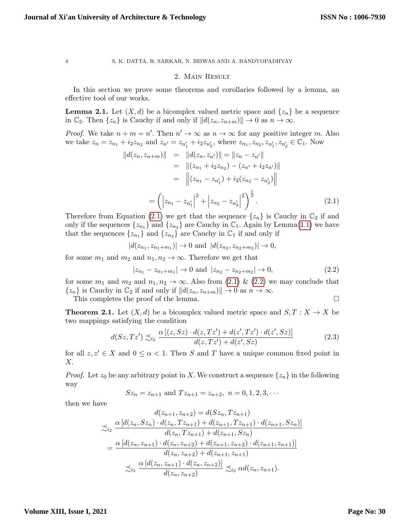# <span id="page-3-0"></span>2. Main Result

In this section we prove some theorems and corollaries followed by a lemma, an effective tool of our works.

<span id="page-3-2"></span>**Lemma 2.1.** Let  $(X, d)$  be a bicomplex valued metric space and  $\{z_n\}$  be a sequence in  $\mathbb{C}_2$ . Then  $\{z_n\}$  is Cauchy if and only if  $||d(z_n, z_{n+m})|| \to 0$  as  $n \to \infty$ .

*Proof.* We take  $n + m = n'$ . Then  $n' \to \infty$  as  $n \to \infty$  for any positive integer m. Also we take  $z_n = z_{n_1} + i_2 z_{n_2}$  and  $z_{n'} = z_{n'_1} + i_2 z_{n'_2}$ , where  $z_{n_1}, z_{n_2}, z_{n'_1}, z_{n'_2} \in \mathbb{C}_1$ . Now

$$
||d(z_n, z_{n+m})|| = ||d(z_n, z_{n'})|| = ||z_n - z_{n'}||
$$
  
\n
$$
= ||(z_{n_1} + iz_{n_2}) - (z_{n'} + iz_{n'})||
$$
  
\n
$$
= ||(z_{n_1} - z_{n'_1}) + iz(z_{n_2} - z_{n'_2})||
$$
  
\n
$$
= (|z_{n_1} - z_{n'_1}|^2 + |z_{n_2} - z_{n'_2}|^2)^{\frac{1}{2}}.
$$
\n(2.1)

Therefore from Equation (2.[1\)](#page-3-0) we get that the sequence  $\{z_n\}$  is Cauchy in  $\mathbb{C}_2$  if and only if the sequences  $\{z_{n_1}\}$  and  $\{z_{n_2}\}$  are Cauchy in  $\mathbb{C}_1$ . Again by Lemma(1.[1\)](#page-2-0) we have that the sequences  $\{z_{n_1}\}\$  and  $\{z_{n_2}\}\$  are Cauchy in  $\mathbb{C}_1$  if and only if

$$
|d(z_{n_1}, z_{n_1+m_1})| \to 0
$$
 and  $|d(z_{n_2}, z_{n_2+m_2})| \to 0$ ,

for some  $m_1$  and  $m_2$  and  $n_1, n_2 \to \infty$ . Therefore we get that

<span id="page-3-3"></span><span id="page-3-1"></span>
$$
|z_{n_1} - z_{n_1 + m_1}| \to 0 \text{ and } |z_{n_2} - z_{n_2 + m_2}| \to 0,
$$
\n(2.2)

for some  $m_1$  and  $m_2$  and  $n_1, n_2 \to \infty$ . Also from [\(2](#page-3-1).1) & (2.2) we may conclude that  $\{z_n\}$  is Cauchy in  $\mathbb{C}_2$  if and only if  $||d(z_n, z_{n+m})|| \to 0$  as  $n \to \infty$ .

This completes the proof of the lemma.

**Theorem 2.1.** Let  $(X, d)$  be a bicomplex valued metric space and  $S, T : X \to X$  be two mappings satisfying the condition

$$
d(Sz, Tz') \precsim_{i_2} \frac{\alpha \left[ (z, Sz) \cdot d(z, Tz') + d(z', Tz') \cdot d(z', Sz) \right]}{d(z, Tz') + d(z', Sz)}
$$
(2.3)

for all  $z, z' \in X$  and  $0 \leq \alpha < 1$ . Then S and T have a unique common fixed point in X.

*Proof.* Let  $z_0$  be any arbitrary point in X. We construct a sequence  $\{z_n\}$  in the following way

$$
Sz_n = z_{n+1}
$$
 and  $Tz_{n+1} = z_{n+2}$ ,  $n = 0, 1, 2, 3, \cdots$ 

then we have

$$
d(z_{n+1}, z_{n+2}) = d(Sz_n, Tz_{n+1})
$$
  
\n
$$
\precsim_i \frac{\alpha [d(z_n, Sz_n) \cdot d(z_n, Tz_{n+1}) + d(z_{n+1}, Tz_{n+1}) \cdot d(z_{n+1}, Sz_n)]}{d(z_n, Tz_{n+1}) + d(z_{n+1}, Sz_n)}
$$
  
\n
$$
= \frac{\alpha [d(z_n, z_{n+1}) \cdot d(z_n, z_{n+2}) + d(z_{n+1}, z_{n+2}) \cdot d(z_{n+1}, z_{n+1})]}{d(z_n, z_{n+2}) + d(z_{n+1}, z_{n+1})}
$$
  
\n
$$
\precsim_i \frac{\alpha [d(z_n, z_{n+1}) \cdot d(z_n, z_{n+2})]}{d(z_n, z_{n+2})} \precsim_i \alpha d(z_n, z_{n+1}).
$$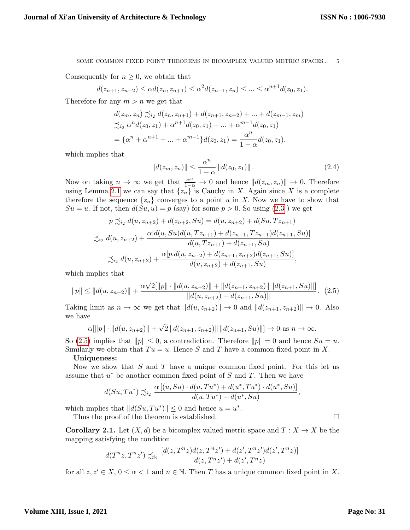Consequently for  $n \geq 0$ , we obtain that

$$
d(z_{n+1}, z_{n+2}) \leq \alpha d(z_n, z_{n+1}) \leq \alpha^2 d(z_{n-1}, z_n) \leq \ldots \leq \alpha^{n+1} d(z_0, z_1).
$$

Therefore for any  $m > n$  we get that

$$
d(z_m, z_n) \preceq_{i_2} d(z_n, z_{n+1}) + d(z_{n+1}, z_{n+2}) + \dots + d(z_{m-1}, z_m)
$$
  
\n
$$
\preceq_{i_2} \alpha^n d(z_0, z_1) + \alpha^{n+1} d(z_0, z_1) + \dots + \alpha^{m-1} d(z_0, z_1)
$$
  
\n
$$
= \{\alpha^n + \alpha^{n+1} + \dots + \alpha^{m-1}\} d(z_0, z_1) = \frac{\alpha^n}{1 - \alpha} d(z_0, z_1),
$$

which implies that

<span id="page-4-0"></span>
$$
||d(z_m, z_n)|| \le \frac{\alpha^n}{1 - \alpha} ||d(z_0, z_1)||. \tag{2.4}
$$

Now on taking  $n \to \infty$  we get that  $\frac{\alpha^n}{1-\alpha} \to 0$  and hence  $||d(z_m, z_n)|| \to 0$ . Therefore using Lemma [2.1](#page-3-2) we can say that  $\{z_n\}$  is Cauchy in X. Again since X is a complete therefore the sequence  $\{z_n\}$  converges to a point u in X. Now we have to show that  $Su = u$ . If not, then  $d(Su, u) = p$  (say) for some  $p > 0$ . So using  $(2.3)$  $(2.3)$  we get

$$
p \precsim_{i_2} d(u, z_{n+2}) + d(z_{n+2}, Su) = d(u, z_{n+2}) + d(Su, Tz_{n+1})
$$
  

$$
\precsim_{i_2} d(u, z_{n+2}) + \frac{\alpha[d(u, Su)d(u, Tz_{n+1}) + d(z_{n+1}, Tz_{n+1})d(z_{n+1}, Su)]}{d(u, Tz_{n+1}) + d(z_{n+1}, Su)}
$$
  

$$
\precsim_{i_2} d(u, z_{n+2}) + \frac{\alpha[p.d(u, z_{n+2}) + d(z_{n+1}, z_{n+2})d(z_{n+1}, Su)]}{d(u, z_{n+2}) + d(z_{n+1}, Su)},
$$

which implies that

$$
||p|| \le ||d(u, z_{n+2})|| + \frac{\alpha\sqrt{2}[\|p\| \cdot ||d(u, z_{n+2})|| + ||d(z_{n+1}, z_{n+2})|| ||d(z_{n+1}, Su)||]}{||d(u, z_{n+2}) + d(z_{n+1}, Su)||}.
$$
 (2.5)

Taking limit as  $n \to \infty$  we get that  $||d(u, z_{n+2})|| \to 0$  and  $||d(z_{n+1}, z_{n+2})|| \to 0$ . Also we have

$$
\alpha[\|p\| \cdot \|d(u, z_{n+2})\| + \sqrt{2} \|d(z_{n+1}, z_{n+2})\| \|d(z_{n+1}, S u)\|] \to 0 \text{ as } n \to \infty.
$$

So [\(2.5\)](#page-4-0) implies that  $||p|| \leq 0$ , a contradiction. Therefore  $||p|| = 0$  and hence  $Su = u$ . Similarly we obtain that  $Tu = u$ . Hence S and T have a common fixed point in X.

# Uniqueness:

Now we show that  $S$  and  $T$  have a unique common fixed point. For this let us assume that  $u^*$  be another common fixed point of S and T. Then we have

$$
d(Su,Tu^*) \precsim_{i_2} \frac{\alpha [(u,Su) \cdot d(u,Tu^*) + d(u^*,Tu^*) \cdot d(u^*,Su)]}{d(u,Tu^*) + d(u^*,Su)},
$$

which implies that  $||d(Su, Tu^*)|| \leq 0$  and hence  $u = u^*$ .

Thus the proof of the theorem is established.

**Corollary 2.1.** Let  $(X, d)$  be a bicomplex valued metric space and  $T : X \to X$  be the mapping satisfying the condition

$$
d(T^nz,T^nz') \precsim_{i_2} \frac{[d(z,T^nz)d(z,T^nz')+d(z',T^nz')d(z',T^nz)]}{d(z,T^nz')+d(z',T^nz)}
$$

for all  $z, z' \in X$ ,  $0 \leq \alpha < 1$  and  $n \in \mathbb{N}$ . Then T has a unique common fixed point in X.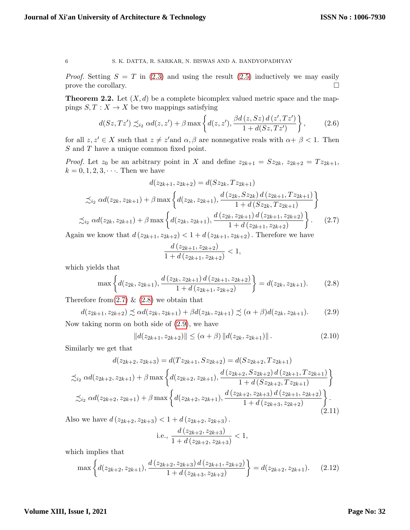*Proof.* Setting  $S = T$  in [\(2.3\)](#page-3-3) and using the result [\(2.5\)](#page-4-0) inductively we may easily prove the corollary.  $\Box$ 

**Theorem 2.2.** Let  $(X, d)$  be a complete bicomplex valued metric space and the mappings  $S, T : X \to X$  be two mappings satisfying

$$
d(Sz, Tz') \precsim_{i_2} \alpha d(z, z') + \beta \max \left\{ d(z, z'), \frac{\beta d(z, Sz) d(z', Tz')}{1 + d(Sz, Tz')} \right\},\tag{2.6}
$$

for all  $z, z' \in X$  such that  $z \neq z'$  and  $\alpha, \beta$  are nonnegative reals with  $\alpha + \beta < 1$ . Then S and T have a unique common fixed point.

*Proof.* Let  $z_0$  be an arbitrary point in X and define  $z_{2k+1} = Sz_{2k}, z_{2k+2} = Tz_{2k+1}$ ,  $k = 0, 1, 2, 3, \cdots$ . Then we have

$$
d(z_{2k+1}, z_{2k+2}) = d(Sz_{2k}, Tz_{2k+1})
$$
  
\n
$$
\precsim_{i_2} \alpha d(z_{2k}, z_{2k+1}) + \beta \max \left\{ d(z_{2k}, z_{2k+1}), \frac{d(z_{2k}, Sz_{2k}) d(z_{2k+1}, Tz_{2k+1})}{1 + d(Sz_{2k}, Tz_{2k+1})} \right\}
$$
  
\n
$$
\precsim_{i_2} \alpha d(z_{2k}, z_{2k+1}) + \beta \max \left\{ d(z_{2k}, z_{2k+1}), \frac{d(z_{2k}, z_{2k+1}) d(z_{2k+1}, z_{2k+2})}{1 + d(z_{2k+1}, z_{2k+2})} \right\}.
$$
 (2.7)

Again we know that  $d(z_{2k+1}, z_{2k+2}) < 1 + d(z_{2k+1}, z_{2k+2})$ . Therefore we have

<span id="page-5-6"></span><span id="page-5-5"></span><span id="page-5-2"></span><span id="page-5-1"></span><span id="page-5-0"></span>
$$
\frac{d(z_{2k+1}, z_{2k+2})}{1+d(z_{2k+1}, z_{2k+2})} < 1,
$$

which yields that

$$
\max\left\{d(z_{2k}, z_{2k+1}), \frac{d(z_{2k}, z_{2k+1})d(z_{2k+1}, z_{2k+2})}{1+d(z_{2k+1}, z_{2k+2})}\right\} = d(z_{2k}, z_{2k+1}).\tag{2.8}
$$

Therefore from  $(2.7) \& (2.8)$  $(2.7) \& (2.8)$  $(2.7) \& (2.8)$  we obtain that

$$
d(z_{2k+1}, z_{2k+2}) \precsim \alpha d(z_{2k}, z_{2k+1}) + \beta d(z_{2k}, z_{2k+1}) \precsim (\alpha + \beta) d(z_{2k}, z_{2k+1}).
$$
 (2.9)

Now taking norm on both side of [\(2.9\)](#page-5-2), we have

$$
||d(z_{2k+1}, z_{2k+2})|| \leq (\alpha + \beta) ||d(z_{2k}, z_{2k+1})||.
$$
 (2.10)

Similarly we get that

$$
d(z_{2k+2}, z_{2k+3}) = d(Tz_{2k+1}, Sz_{2k+2}) = d(Sz_{2k+2}, Tz_{2k+1})
$$
  
\n
$$
\precsim_{i_2} \alpha d(z_{2k+2}, z_{2k+1}) + \beta \max \left\{ d(z_{2k+2}, z_{2k+1}), \frac{d(z_{2k+2}, Sz_{2k+2}) d(z_{2k+1}, Tz_{2k+1})}{1 + d(Sz_{2k+2}, Tz_{2k+1})} \right\}
$$
  
\n
$$
\precsim_{i_2} \alpha d(z_{2k+2}, z_{2k+1}) + \beta \max \left\{ d(z_{2k+2}, z_{2k+1}), \frac{d(z_{2k+2}, z_{2k+3}) d(z_{2k+1}, z_{2k+2})}{1 + d(z_{2k+3}, z_{2k+2})} \right\}.
$$
\n(2.11)

Also we have  $d(z_{2k+2}, z_{2k+3}) < 1 + d(z_{2k+2}, z_{2k+3})$ .

<span id="page-5-4"></span><span id="page-5-3"></span>i.e., 
$$
\frac{d(z_{2k+2}, z_{2k+3})}{1+d(z_{2k+2}, z_{2k+3})} < 1,
$$

which implies that

$$
\max\left\{d(z_{2k+2}, z_{2k+1}), \frac{d(z_{2k+2}, z_{2k+3})d(z_{2k+1}, z_{2k+2})}{1+d(z_{2k+3}, z_{2k+2})}\right\} = d(z_{2k+2}, z_{2k+1}).
$$
 (2.12)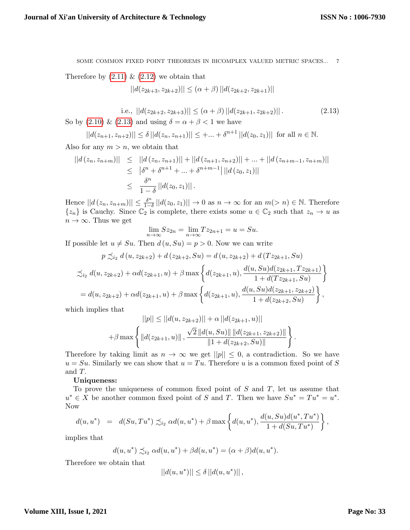Therefore by  $(2.11) \& (2.12)$  $(2.11) \& (2.12)$  $(2.11) \& (2.12)$  we obtain that

<span id="page-6-0"></span> $||d(z_{2k+3}, z_{2k+2})|| \leq (\alpha + \beta) ||d(z_{2k+2}, z_{2k+1})||$ 

i.e., 
$$
||d(z_{2k+2}, z_{2k+3})|| \leq (\alpha + \beta) ||d(z_{2k+1}, z_{2k+2})||
$$
. (2.13)

So by [\(2.10\)](#page-5-5) & [\(2.13\)](#page-6-0) and using  $\delta = \alpha + \beta < 1$  we have

$$
||d(z_{n+1}, z_{n+2})|| \le \delta ||d(z_n, z_{n+1})|| \le +...+ \delta^{n+1} ||d(z_0, z_1)||
$$
 for all  $n \in \mathbb{N}$ .

Also for any  $m > n$ , we obtain that

$$
||d(z_n, z_{n+m})|| \le ||d(z_n, z_{n+1})|| + ||d(z_{n+1}, z_{n+2})|| + \dots + ||d(z_{n+m-1}, z_{n+m})||
$$
  
\n
$$
\le |{\delta}^n + {\delta}^{n+1} + \dots + {\delta}^{n+m-1}||d(z_0, z_1)||
$$
  
\n
$$
\le \frac{{\delta}^n}{1 - {\delta}} ||d(z_0, z_1)||.
$$

Hence  $||d(z_n, z_{n+m})|| \leq \frac{\delta^n}{1-\delta}$  $\frac{\delta^n}{1-\delta} ||d(z_0, z_1)|| \to 0$  as  $n \to \infty$  for an  $m(> n) \in \mathbb{N}$ . Therefore  $\{z_n\}$  is Cauchy. Since  $\mathbb{C}_2$  is complete, there exists some  $u \in \mathbb{C}_2$  such that  $z_n \to u$  as  $n \to \infty$ . Thus we get

$$
\lim_{n \to \infty} Sz_{2n} = \lim_{n \to \infty} Tz_{2n+1} = u = Su.
$$

If possible let  $u \neq Su$ . Then  $d(u, Su) = p > 0$ . Now we can write

$$
p \precsim_{i_2} d(u, z_{2k+2}) + d(z_{2k+2}, Su) = d(u, z_{2k+2}) + d(Tz_{2k+1}, Su)
$$
  

$$
\precsim_{i_2} d(u, z_{2k+2}) + \alpha d(z_{2k+1}, u) + \beta \max \left\{ d(z_{2k+1}, u), \frac{d(u, Su)d(z_{2k+1}, Tz_{2k+1})}{1 + d(Tz_{2k+1}, Su)} \right\}
$$
  

$$
= d(u, z_{2k+2}) + \alpha d(z_{2k+1}, u) + \beta \max \left\{ d(z_{2k+1}, u), \frac{d(u, Su)d(z_{2k+1}, z_{2k+2})}{1 + d(z_{2k+2}, Su)} \right\},
$$

which implies that

$$
||p|| \le ||d(u, z_{2k+2})|| + \alpha ||d(z_{2k+1}, u)||
$$
  
+  $\beta \max \left\{ ||d(z_{2k+1}, u)||, \frac{\sqrt{2} ||d(u, Su)|| ||d(z_{2k+1}, z_{2k+2})||}{||1 + d(z_{2k+2}, Su)||} \right\}.$ 

Therefore by taking limit as  $n \to \infty$  we get  $||p|| \leq 0$ , a contradiction. So we have  $u = Su$ . Similarly we can show that  $u = Tu$ . Therefore u is a common fixed point of S and T.

## Uniqueness:

To prove the uniqueness of common fixed point of  $S$  and  $T$ , let us assume that  $u^* \in X$  be another common fixed point of S and T. Then we have  $Su^* = Tu^* = u^*$ . Now

$$
d(u, u^*) = d(Su, Tu^*) \precsim_{i_2} \alpha d(u, u^*) + \beta \max \left\{ d(u, u^*), \frac{d(u, Su)d(u^*, Tu^*)}{1 + d(Su, Tu^*)} \right\},
$$

implies that

$$
d(u,u^*) \precsim_{i_2} \alpha d(u,u^*) + \beta d(u,u^*) = (\alpha + \beta) d(u,u^*).
$$

Therefore we obtain that

$$
||d(u, u^*)|| \le \delta ||d(u, u^*)||,
$$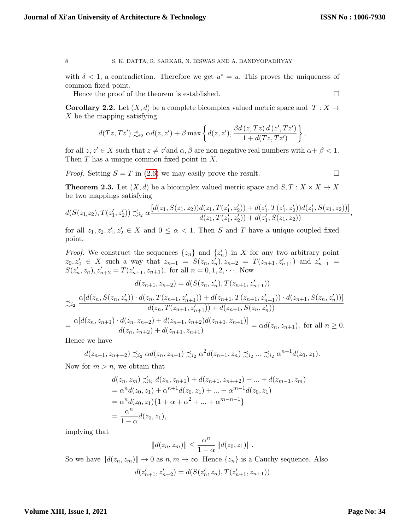with  $\delta$  < 1, a contradiction. Therefore we get  $u^* = u$ . This proves the uniqueness of common fixed point.

Hence the proof of the theorem is established.  $\Box$ 

**Corollary 2.2.** Let  $(X, d)$  be a complete bicomplex valued metric space and  $T : X \to Y$ X be the mapping satisfying

$$
d(Tz,Tz') \precsim_{i_2} \alpha d(z,z') + \beta \max \left\{ d(z,z'), \frac{\beta d(z,Tz) d(z',Tz')}{1 + d(Tz,Tz')} \right\},\,
$$

for all  $z, z' \in X$  such that  $z \neq z'$  and  $\alpha, \beta$  are non negative real numbers with  $\alpha + \beta < 1$ . Then  $T$  has a unique common fixed point in  $X$ .

*Proof.* Setting  $S = T$  in [\(2](#page-5-6).6) we may easily prove the result.

**Theorem 2.3.** Let  $(X, d)$  be a bicomplex valued metric space and  $S, T : X \times X \rightarrow X$ be two mappings satisfying

$$
d(S(z_1,z_2),T(z'_1,z'_2)) \precsim_{i_2} \alpha \frac{[d(z_1,S(z_1,z_2))d(z_1,T(z'_1,z'_2)) + d(z'_1,T(z'_1,z'_2))d(z'_1,S(z_1,z_2))]}{d(z_1,T(z'_1,z'_2)) + d(z'_1,S(z_1,z_2))},
$$

for all  $z_1, z_2, z'_1, z'_2 \in X$  and  $0 \leq \alpha < 1$ . Then S and T have a unique coupled fixed point.

*Proof.* We construct the sequences  $\{z_n\}$  and  $\{z'_n\}$  in X for any two arbitrary point  $z_0, z'_0 \in X$  such a way that  $z_{n+1} = S(z_n, z'_n), z_{n+2} = T(z_{n+1}, z'_{n+1})$  and  $z'_{n+1} =$  $S(z'_n, z_n), z'_{n+2} = T(z'_{n+1}, z_{n+1}),$  for all  $n = 0, 1, 2, \cdots$ . Now

$$
d(z_{n+1}, z_{n+2}) = d(S(z_n, z'_n), T(z_{n+1}, z'_{n+1}))
$$
  

$$
\precsim_i \frac{\alpha[d(z_n, S(z_n, z'_n)) \cdot d(z_n, T(z_{n+1}, z'_{n+1})) + d(z_{n+1}, T(z_{n+1}, z'_{n+1})) \cdot d(z_{n+1}, S(z_n, z'_n))]}{d(z_n, T(z_{n+1}, z'_{n+1})) + d(z_{n+1}, S(z_n, z'_n))}
$$
  

$$
= \frac{\alpha[d(z_n, z_{n+1}) \cdot d(z_n, z_{n+2}) + d(z_{n+1}, z_{n+2})d(z_{n+1}, z_{n+1})]}{d(z_n, z_{n+2}) + d(z_{n+1}, z_{n+1})} = \alpha d(z_n, z_{n+1}), \text{ for all } n \ge 0.
$$

Hence we have

$$
d(z_{n+1}, z_{n+2}) \preceq_{i_2} \alpha d(z_n, z_{n+1}) \preceq_{i_2} \alpha^2 d(z_{n-1}, z_n) \preceq_{i_2} \ldots \preceq_{i_2} \alpha^{n+1} d(z_0, z_1).
$$

Now for  $m > n$ , we obtain that

$$
d(z_n, z_m) \preceq_{i_2} d(z_n, z_{n+1}) + d(z_{n+1}, z_{n+2}) + \dots + d(z_{m-1}, z_m)
$$
  
=  $\alpha^n d(z_0, z_1) + \alpha^{n+1} d(z_0, z_1) + \dots + \alpha^{m-1} d(z_0, z_1)$   
=  $\alpha^n d(z_0, z_1) \{1 + \alpha + \alpha^2 + \dots + \alpha^{m-n-1}\}$   
=  $\frac{\alpha^n}{1 - \alpha} d(z_0, z_1),$ 

implying that

$$
||d(z_n, z_m)|| \leq \frac{\alpha^n}{1-\alpha} ||d(z_0, z_1)||.
$$

So we have  $||d(z_n, z_m)|| \to 0$  as  $n, m \to \infty$ . Hence  $\{z_n\}$  is a Cauchy sequence. Also

$$
d(z'_{n+1},z'_{n+2})=d(S(z'_n,z_n),T(z'_{n+1},z_{n+1}))\\
$$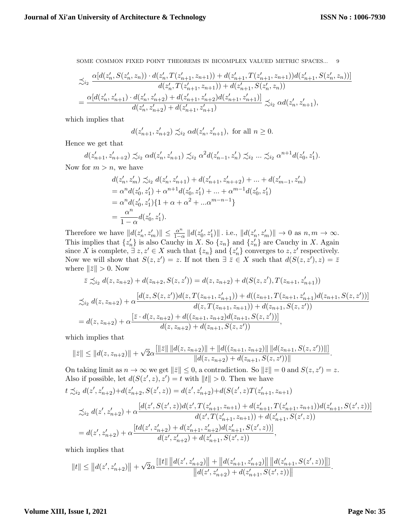$$
\begin{aligned} &\precsim_{i_{2}}\frac{\alpha[d(z_{n}',S(z_{n}',z_{n}))\cdot d(z_{n}',T(z_{n+1}',z_{n+1}))+d(z_{n+1}',T(z_{n+1}',z_{n+1}))d(z_{n+1}',S(z_{n}',z_{n}))]}{d(z_{n}',T(z_{n+1}',z_{n+1}))+d(z_{n+1}',S(z_{n}',z_{n}))} \\ &=\frac{\alpha[d(z_{n}',z_{n+1}')\cdot d(z_{n}',z_{n+2}')+d(z_{n+1}',z_{n+2}')d(z_{n+1}',z_{n+1}')]}{d(z_{n}',z_{n+2}')+d(z_{n+1}',z_{n+1}')}\precsim_{i_{2}}\alpha d(z_{n}',z_{n+1}'), \end{aligned}
$$

which implies that

$$
d(z'_{n+1}, z'_{n+2}) \preceq_{i_2} \alpha d(z'_n, z'_{n+1}),
$$
 for all  $n \ge 0$ .

Hence we get that

 $d(z'_{n+1}, z'_{n++2}) \precsim_{i_2} \alpha d(z'_n, z'_{n+1}) \precsim_{i_2} \alpha^2 d(z'_{n-1}, z'_n) \precsim_{i_2} ... \precsim_{i_2} \alpha^{n+1} d(z'_0, z'_1).$ Now for  $m > n$ , we have

$$
d(z'_n, z'_m) \precsim_{i_2} d(z'_n, z'_{n+1}) + d(z'_{n+1}, z'_{n+2}) + \dots + d(z'_{m-1}, z'_m)
$$
  
=  $\alpha^n d(z'_0, z'_1) + \alpha^{n+1} d(z'_0, z'_1) + \dots + \alpha^{m-1} d(z'_0, z'_1)$ 

$$
= \alpha^n d(z'_0, z'_1) + \alpha^{n+1} d(z'_0, z'_1) + \dots + \alpha^{m-1} d(z'_0, z'_1)
$$
  
=  $\alpha^n d(z'_0, z'_1) \{1 + \alpha + \alpha^2 + \dots + \alpha^{m-n-1}\}$   
=  $\frac{\alpha^n}{1 - \alpha} d(z'_0, z'_1).$ 

Therefore we have  $||d(z'_n, z'_m)|| \leq \frac{\alpha^n}{1-\alpha^n}$  $\frac{\alpha^n}{1-\alpha} ||d(z'_0, z'_1)||$ . i.e.,  $||d(z'_n, z'_m)|| \to 0$  as  $n, m \to \infty$ . This implies that  $\{z'_n\}$  is also Cauchy in X. So  $\{z_n\}$  and  $\{z'_n\}$  are Cauchy in X. Again since X is complete,  $\exists z, z' \in X$  such that  $\{z_n\}$  and  $\{z'_n\}$  converges to  $z, z'$  respectively. Now we will show that  $S(z, z') = z$ . If not then  $\exists \overline{z} \in X$  such that  $d(S(z, z'), z) = \overline{z}$ where  $\|\bar{z}\| > 0$ . Now

$$
\bar{z} \preceq_{i_2} d(z, z_{n+2}) + d(z_{n+2}, S(z, z')) = d(z, z_{n+2}) + d(S(z, z'), T(z_{n+1}, z'_{n+1}))
$$
  

$$
\preceq_{i_2} d(z, z_{n+2}) + \alpha \frac{[d(z, S(z, z'))d(z, T(z_{n+1}, z'_{n+1})) + d((z_{n+1}, T(z_{n+1}, z'_{n+1}))d(z_{n+1}, S(z, z'))]}{d(z, T(z_{n+1}, z_{n+1})) + d(z_{n+1}, S(z, z'))}
$$
  

$$
= d(z, z_{n+2}) + \alpha \frac{[\bar{z} \cdot d(z, z_{n+2}) + d((z_{n+1}, z_{n+2})d(z_{n+1}, S(z, z'))]}{d(z, z_{n+2}) + d(z_{n+1}, S(z, z'))},
$$

which implies that

$$
\|\bar{z}\| \leq \|d(z, z_{n+2})\| + \sqrt{2}\alpha \frac{\{\|\bar{z}\| \, \|d(z, z_{n+2})\| + \|d((z_{n+1}, z_{n+2})\| \, \|d(z_{n+1}, S(z, z'))\|]}{\|d(z, z_{n+2}) + d(z_{n+1}, S(z, z'))\|}.
$$

On taking limit as  $n \to \infty$  we get  $\|\bar{z}\| \leq 0$ , a contradiction. So  $\|\bar{z}\| = 0$  and  $S(z, z') = z$ . Also if possible, let  $d(S(z', z), z') = t$  with  $||t|| > 0$ . Then we have

$$
t \precsim_{i_2} d(z', z'_{n+2}) + d(z'_{n+2}, S(z', z)) = d(z', z'_{n+2}) + d(S(z', z)T(z'_{n+1}, z_{n+1}))
$$

$$
\begin{split} &\precsim_{i_2} d(z',z_{n+2}') + \alpha \frac{[d(z',S(z',z))d(z',T(z_{n+1}',z_{n+1})+d(z_{n+1}',T(z_{n+1}',z_{n+1}))d(z_{n+1}',S(z',z))]}{d(z',T(z_{n+1}',z_{n+1}))+d(z_{n+1}',S(z',z))}\\ &= d(z',z_{n+2}') + \alpha \frac{[td(z',z_{n+2}')+d(z_{n+1}',z_{n+2}')d(z_{n+1}',S(z',z))]}{d(z',z_{n+2}')+d(z_{n+1}',S(z',z))}, \end{split}
$$

which implies that

$$
||t|| \le ||d(z',z_{n+2}')|| + \sqrt{2}\alpha \frac{[||t|| \, ||d(z',z_{n+2}')|| + ||d(z_{n+1}',z_{n+2}')|| \, ||d(z_{n+1}',S(z',z))||]}{||d(z',z_{n+2}') + d(z_{n+1}',S(z',z))||}.
$$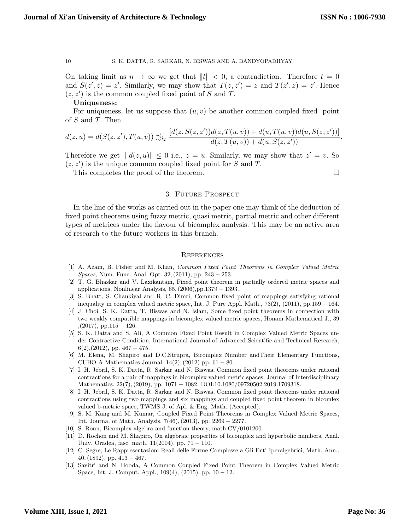On taking limit as  $n \to \infty$  we get that  $||t|| < 0$ , a contradiction. Therefore  $t = 0$ and  $S(z', z) = z'$ . Similarly, we may show that  $T(z, z') = z$  and  $T(z', z) = z'$ . Hence  $(z, z')$  is the common coupled fixed point of S and T.

#### Uniqueness:

For uniqueness, let us suppose that  $(u, v)$  be another common coupled fixed point of S and T. Then

$$
d(z, u) = d(S(z, z'), T(u, v)) \precsim_{i_2} \frac{[d(z, S(z, z'))d(z, T(u, v)) + d(u, T(u, v))d(u, S(z, z'))]}{d(z, T(u, v)) + d(u, S(z, z'))}.
$$

Therefore we get  $||d(z, u)|| \leq 0$  i.e.,  $z = u$ . Similarly, we may show that  $z' = v$ . So  $(z, z')$  is the unique common coupled fixed point for S and T.

This completes the proof of the theorem.  $\hfill \square$ 

# 3. Future Prospect

In the line of the works as carried out in the paper one may think of the deduction of fixed point theorems using fuzzy metric, quasi metric, partial metric and other different types of metrices under the flavour of bicomplex analysis. This may be an active area of research to the future workers in this branch.

#### **REFERENCES**

- <span id="page-9-2"></span>[1] A. Azam, B. Fisher and M. Khan, Common Fixed Point Theorems in Complex Valued Metric Spaces, Num. Func. Anal. Opt. 32,(2011), pp. 243 − 253.
- <span id="page-9-4"></span>[2] T. G. Bhaskar and V. Laxikantam, Fixed point theorem in partially ordered metric spaces and applications, Nonlinear Analysis,  $65$ ,  $(2006)$ ,pp.1379 – 1393.
- <span id="page-9-0"></span>[3] S. Bhatt, S. Chaukiyal and R. C. Dimri, Common fixed point of mappings satisfying rational inequality in complex valued metric space, Int. J. Pure Appl. Math., 73(2), (2011), pp.159 − 164.
- <span id="page-9-9"></span>[4] J. Choi, S. K. Datta, T. Biswas and N. Islam, Some fixed point theorems in connection with two weakly compatible mappings in bicomplex valued metric spaces, Honam Mathematical J., 39  $(2017)$ , pp.115 – 126.
- <span id="page-9-3"></span>[5] S. K. Datta and S. Ali, A Common Fixed Point Result in Complex Valued Metric Spaces under Contractive Condition, International Journal of Advanced Scientific and Technical Research,  $6(2),(2012)$ , pp.  $467-475$ .
- <span id="page-9-8"></span>[6] M. Elena, M. Shapiro and D.C.Strupra, Bicomplex Number andTheir Elementary Functions, CUBO A Mathematics Journal,  $14(2)$ ,  $(2012)$  pp.  $61 - 80$ .
- <span id="page-9-10"></span>[7] I. H. Jebril, S. K. Datta, R. Sarkar and N. Biswas, Common fixed point theorems under rational contractions for a pair of mappings in bicomplex valued metric spaces, Journal of Interdisciplinary Mathematics, 22(7),(2019), pp. 1071 − 1082, DOI:10.1080/09720502.2019.1709318.
- <span id="page-9-11"></span>[8] I. H. Jebril, S. K. Datta, R. Sarkar and N. Biswas, Common fixed point theorems under rational contractions using two mappings and six mappings and coupled fixed point theorem in bicomlex valued b-metric space, TWMS J. of Apl. & Eng. Math. (Accepted).
- <span id="page-9-5"></span>[9] S. M. Kang and M. Kumar, Coupled Fixed Point Theorems in Complex Valued Metric Spaces, Int. Journal of Math. Analysis, 7(46),(2013), pp. 2269 − 2277.
- <span id="page-9-6"></span>[10] S. Ronn, Bicomplex algebra and function theory, math.CV/0101200.
- <span id="page-9-12"></span>[11] D. Rochon and M. Shapiro, On algebraic properties of bicomplex and hyperbolic numbers, Anal. Univ. Oradea, fasc. math,  $11(2004)$ , pp.  $71 - 110$ .
- <span id="page-9-7"></span>[12] C. Segre, Le Rappresentazioni Reali delle Forme Complesse a Gli Enti Iperalgebrici, Math. Ann.,  $40,(1892),$  pp.  $413-467.$
- <span id="page-9-1"></span>[13] Savitri and N. Hooda, A Common Coupled Fixed Point Theorem in Complex Valued Metric Space, Int. J. Comput. Appl.,  $109(4)$ ,  $(2015)$ , pp.  $10-12$ .